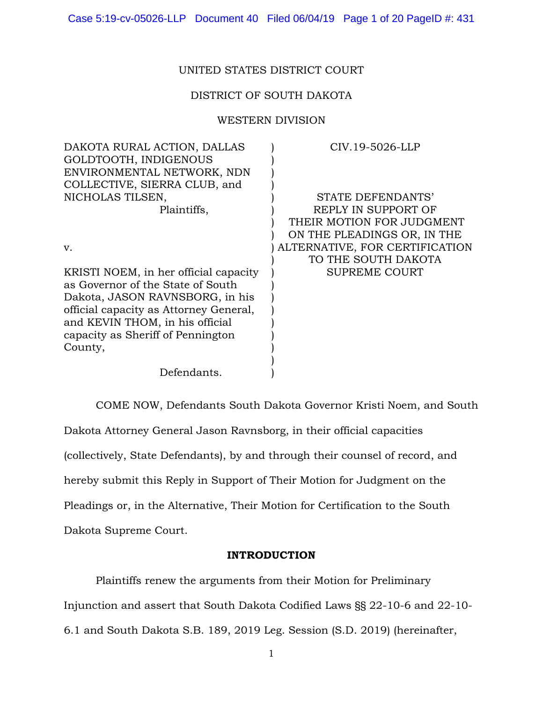# UNITED STATES DISTRICT COURT

# DISTRICT OF SOUTH DAKOTA

### WESTERN DIVISION

| DAKOTA RURAL ACTION, DALLAS            | CIV.19-5026-LLP                |
|----------------------------------------|--------------------------------|
| GOLDTOOTH, INDIGENOUS                  |                                |
| ENVIRONMENTAL NETWORK, NDN             |                                |
| COLLECTIVE, SIERRA CLUB, and           |                                |
| NICHOLAS TILSEN,                       | STATE DEFENDANTS'              |
| Plaintiffs,                            | REPLY IN SUPPORT OF            |
|                                        | THEIR MOTION FOR JUDGMENT      |
|                                        | ON THE PLEADINGS OR, IN THE    |
| v.                                     | ALTERNATIVE, FOR CERTIFICATION |
|                                        | TO THE SOUTH DAKOTA            |
| KRISTI NOEM, in her official capacity  | <b>SUPREME COURT</b>           |
| as Governor of the State of South      |                                |
| Dakota, JASON RAVNSBORG, in his        |                                |
| official capacity as Attorney General, |                                |
| and KEVIN THOM, in his official        |                                |
| capacity as Sheriff of Pennington      |                                |
| County,                                |                                |
|                                        |                                |
| Defendants.                            |                                |
|                                        |                                |

COME NOW, Defendants South Dakota Governor Kristi Noem, and South Dakota Attorney General Jason Ravnsborg, in their official capacities (collectively, State Defendants), by and through their counsel of record, and hereby submit this Reply in Support of Their Motion for Judgment on the Pleadings or, in the Alternative, Their Motion for Certification to the South Dakota Supreme Court.

### **INTRODUCTION**

Plaintiffs renew the arguments from their Motion for Preliminary Injunction and assert that South Dakota Codified Laws §§ 22-10-6 and 22-10-

6.1 and South Dakota S.B. 189, 2019 Leg. Session (S.D. 2019) (hereinafter,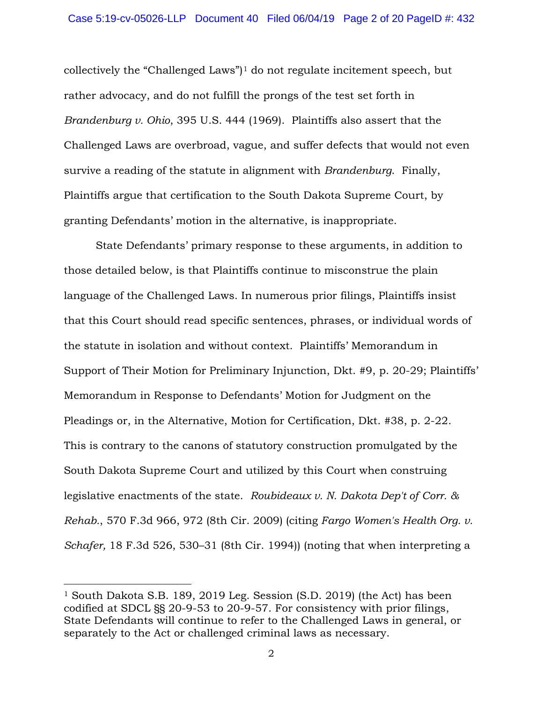collectively the "Challenged Laws" $]$ <sup>[1](#page-1-0)</sup> do not regulate incitement speech, but rather advocacy, and do not fulfill the prongs of the test set forth in *Brandenburg v. Ohio*, 395 U.S. 444 (1969). Plaintiffs also assert that the Challenged Laws are overbroad, vague, and suffer defects that would not even survive a reading of the statute in alignment with *Brandenburg*. Finally, Plaintiffs argue that certification to the South Dakota Supreme Court, by granting Defendants' motion in the alternative, is inappropriate.

State Defendants' primary response to these arguments, in addition to those detailed below, is that Plaintiffs continue to misconstrue the plain language of the Challenged Laws. In numerous prior filings, Plaintiffs insist that this Court should read specific sentences, phrases, or individual words of the statute in isolation and without context. Plaintiffs' Memorandum in Support of Their Motion for Preliminary Injunction, Dkt. #9, p. 20-29; Plaintiffs' Memorandum in Response to Defendants' Motion for Judgment on the Pleadings or, in the Alternative, Motion for Certification, Dkt. #38, p. 2-22. This is contrary to the canons of statutory construction promulgated by the South Dakota Supreme Court and utilized by this Court when construing legislative enactments of the state. *Roubideaux v. N. Dakota Dep't of Corr. & Rehab.*, 570 F.3d 966, 972 (8th Cir. 2009) (citing *Fargo Women's Health Org. v. Schafer,* 18 F.3d 526, 530–31 (8th Cir. 1994)) (noting that when interpreting a

 $\overline{\phantom{a}}$ 

<span id="page-1-0"></span><sup>1</sup> South Dakota S.B. 189, 2019 Leg. Session (S.D. 2019) (the Act) has been codified at SDCL §§ 20-9-53 to 20-9-57. For consistency with prior filings, State Defendants will continue to refer to the Challenged Laws in general, or separately to the Act or challenged criminal laws as necessary.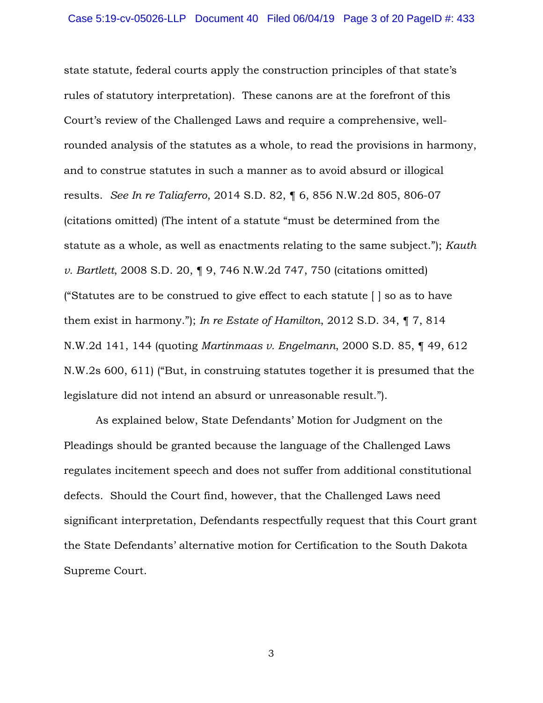state statute, federal courts apply the construction principles of that state's rules of statutory interpretation). These canons are at the forefront of this Court's review of the Challenged Laws and require a comprehensive, wellrounded analysis of the statutes as a whole, to read the provisions in harmony, and to construe statutes in such a manner as to avoid absurd or illogical results. *See In re Taliaferro*, 2014 S.D. 82, ¶ 6, 856 N.W.2d 805, 806-07 (citations omitted) (The intent of a statute "must be determined from the statute as a whole, as well as enactments relating to the same subject."); *Kauth v. Bartlett*, 2008 S.D. 20, ¶ 9, 746 N.W.2d 747, 750 (citations omitted) ("Statutes are to be construed to give effect to each statute [ ] so as to have them exist in harmony."); *In re Estate of Hamilton*, 2012 S.D. 34, ¶ 7, 814 N.W.2d 141, 144 (quoting *Martinmaas v. Engelmann*, 2000 S.D. 85, ¶ 49, 612 N.W.2s 600, 611) ("But, in construing statutes together it is presumed that the legislature did not intend an absurd or unreasonable result.").

As explained below, State Defendants' Motion for Judgment on the Pleadings should be granted because the language of the Challenged Laws regulates incitement speech and does not suffer from additional constitutional defects. Should the Court find, however, that the Challenged Laws need significant interpretation, Defendants respectfully request that this Court grant the State Defendants' alternative motion for Certification to the South Dakota Supreme Court.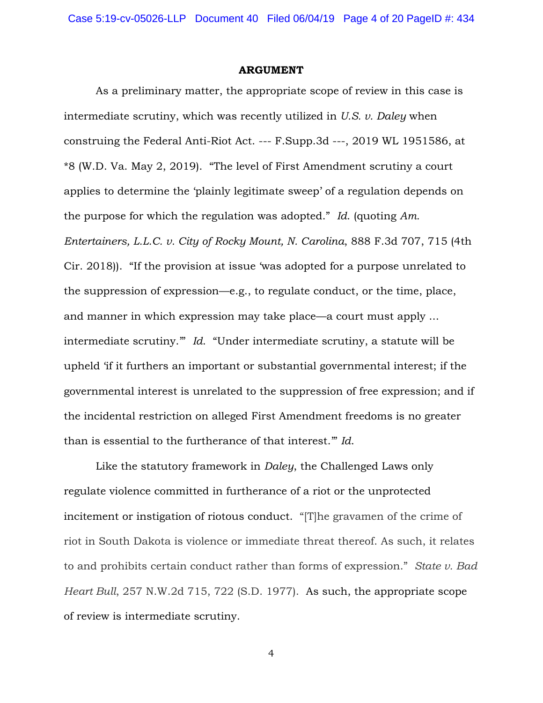### **ARGUMENT**

As a preliminary matter, the appropriate scope of review in this case is intermediate scrutiny, which was recently utilized in *U.S. v. Daley* when construing the Federal Anti-Riot Act. --- F.Supp.3d ---, 2019 WL 1951586, at \*8 (W.D. Va. May 2, 2019). "The level of First Amendment scrutiny a court applies to determine the 'plainly legitimate sweep' of a regulation depends on the purpose for which the regulation was adopted." *Id*. (quoting *Am. Entertainers, L.L.C. v. City of Rocky Mount, N. Carolina*, 888 F.3d 707, 715 (4th Cir. 2018)). "If the provision at issue 'was adopted for a purpose unrelated to the suppression of expression—e.g., to regulate conduct, or the time, place, and manner in which expression may take place—a court must apply ... intermediate scrutiny.'" *Id*. "Under intermediate scrutiny, a statute will be upheld 'if it furthers an important or substantial governmental interest; if the governmental interest is unrelated to the suppression of free expression; and if the incidental restriction on alleged First Amendment freedoms is no greater than is essential to the furtherance of that interest.'" *Id*.

Like the statutory framework in *Daley*, the Challenged Laws only regulate violence committed in furtherance of a riot or the unprotected incitement or instigation of riotous conduct. "[T]he gravamen of the crime of riot in South Dakota is violence or immediate threat thereof. As such, it relates to and prohibits certain conduct rather than forms of expression." *State v. Bad Heart Bull*, 257 N.W.2d 715, 722 (S.D. 1977). As such, the appropriate scope of review is intermediate scrutiny.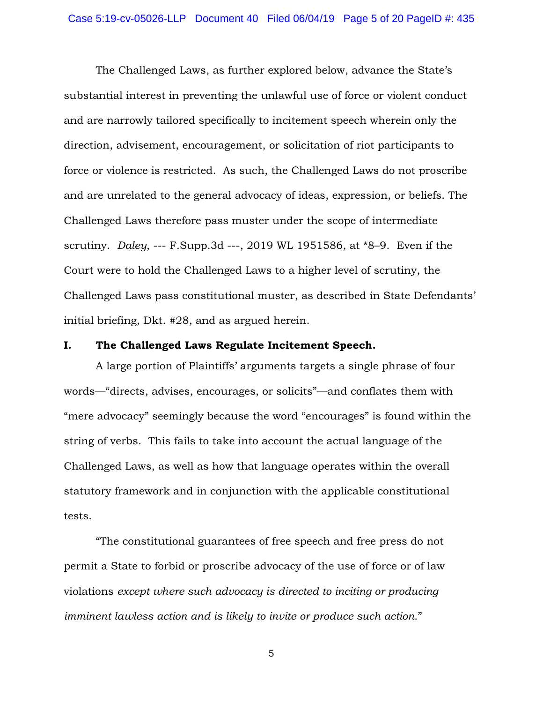The Challenged Laws, as further explored below, advance the State's substantial interest in preventing the unlawful use of force or violent conduct and are narrowly tailored specifically to incitement speech wherein only the direction, advisement, encouragement, or solicitation of riot participants to force or violence is restricted. As such, the Challenged Laws do not proscribe and are unrelated to the general advocacy of ideas, expression, or beliefs. The Challenged Laws therefore pass muster under the scope of intermediate scrutiny. *Daley*, --- F.Supp.3d ---, 2019 WL 1951586, at \*8–9. Even if the Court were to hold the Challenged Laws to a higher level of scrutiny, the Challenged Laws pass constitutional muster, as described in State Defendants' initial briefing, Dkt. #28, and as argued herein.

### **I. The Challenged Laws Regulate Incitement Speech.**

A large portion of Plaintiffs' arguments targets a single phrase of four words—"directs, advises, encourages, or solicits"—and conflates them with "mere advocacy" seemingly because the word "encourages" is found within the string of verbs. This fails to take into account the actual language of the Challenged Laws, as well as how that language operates within the overall statutory framework and in conjunction with the applicable constitutional tests.

"The constitutional guarantees of free speech and free press do not permit a State to forbid or proscribe advocacy of the use of force or of law violations *except where such advocacy is directed to inciting or producing imminent lawless action and is likely to invite or produce such action*."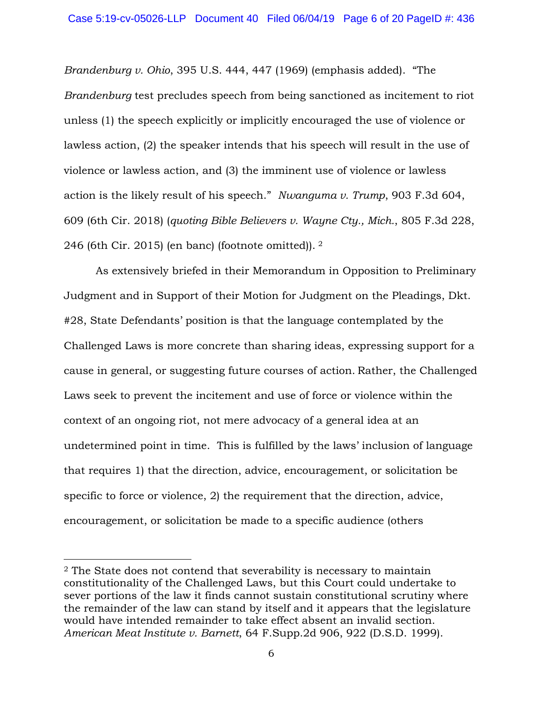*Brandenburg v. Ohio*, 395 U.S. 444, 447 (1969) (emphasis added). "The *Brandenburg* test precludes speech from being sanctioned as incitement to riot unless (1) the speech explicitly or implicitly encouraged the use of violence or lawless action, (2) the speaker intends that his speech will result in the use of violence or lawless action, and (3) the imminent use of violence or lawless action is the likely result of his speech." *Nwanguma v. Trump*, 903 F.3d 604, 609 (6th Cir. 2018) (*quoting Bible Believers v. Wayne Cty., Mich.*, 805 F.3d 228, 246 (6th Cir. 2015) (en banc) (footnote omitted)). [2](#page-5-0)

As extensively briefed in their Memorandum in Opposition to Preliminary Judgment and in Support of their Motion for Judgment on the Pleadings, Dkt. #28, State Defendants' position is that the language contemplated by the Challenged Laws is more concrete than sharing ideas, expressing support for a cause in general, or suggesting future courses of action. Rather, the Challenged Laws seek to prevent the incitement and use of force or violence within the context of an ongoing riot, not mere advocacy of a general idea at an undetermined point in time. This is fulfilled by the laws' inclusion of language that requires 1) that the direction, advice, encouragement, or solicitation be specific to force or violence, 2) the requirement that the direction, advice, encouragement, or solicitation be made to a specific audience (others

 $\overline{\phantom{a}}$ 

<span id="page-5-0"></span><sup>2</sup> The State does not contend that severability is necessary to maintain constitutionality of the Challenged Laws, but this Court could undertake to sever portions of the law it finds cannot sustain constitutional scrutiny where the remainder of the law can stand by itself and it appears that the legislature would have intended remainder to take effect absent an invalid section. *American Meat Institute v. Barnett*, 64 F.Supp.2d 906, 922 (D.S.D. 1999).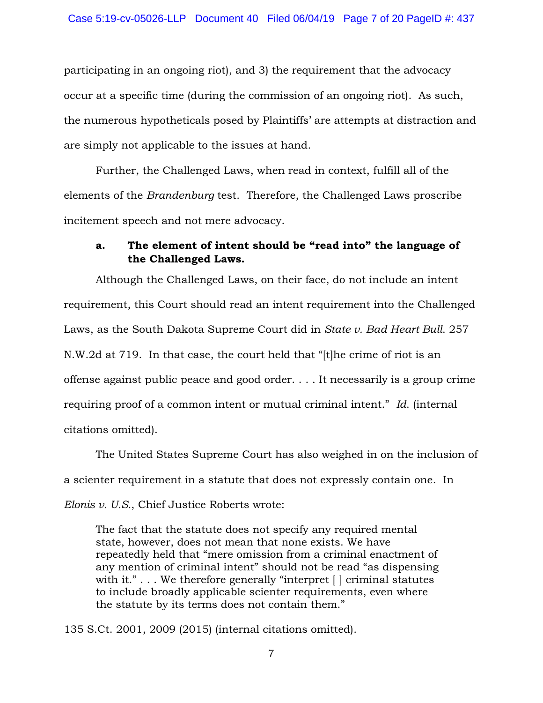participating in an ongoing riot), and 3) the requirement that the advocacy occur at a specific time (during the commission of an ongoing riot). As such, the numerous hypotheticals posed by Plaintiffs' are attempts at distraction and are simply not applicable to the issues at hand.

Further, the Challenged Laws, when read in context, fulfill all of the elements of the *Brandenburg* test. Therefore, the Challenged Laws proscribe incitement speech and not mere advocacy.

# **a. The element of intent should be "read into" the language of the Challenged Laws.**

Although the Challenged Laws, on their face, do not include an intent requirement, this Court should read an intent requirement into the Challenged Laws, as the South Dakota Supreme Court did in *State v. Bad Heart Bull*. 257 N.W.2d at 719. In that case, the court held that "[t]he crime of riot is an offense against public peace and good order. . . . It necessarily is a group crime requiring proof of a common intent or mutual criminal intent." *Id*. (internal citations omitted).

The United States Supreme Court has also weighed in on the inclusion of a scienter requirement in a statute that does not expressly contain one. In *Elonis v. U.S.*, Chief Justice Roberts wrote:

The fact that the statute does not specify any required mental state, however, does not mean that none exists. We have repeatedly held that "mere omission from a criminal enactment of any mention of criminal intent" should not be read "as dispensing with it."... We therefore generally "interpret [] criminal statutes to include broadly applicable scienter requirements, even where the statute by its terms does not contain them."

135 S.Ct. 2001, 2009 (2015) (internal citations omitted).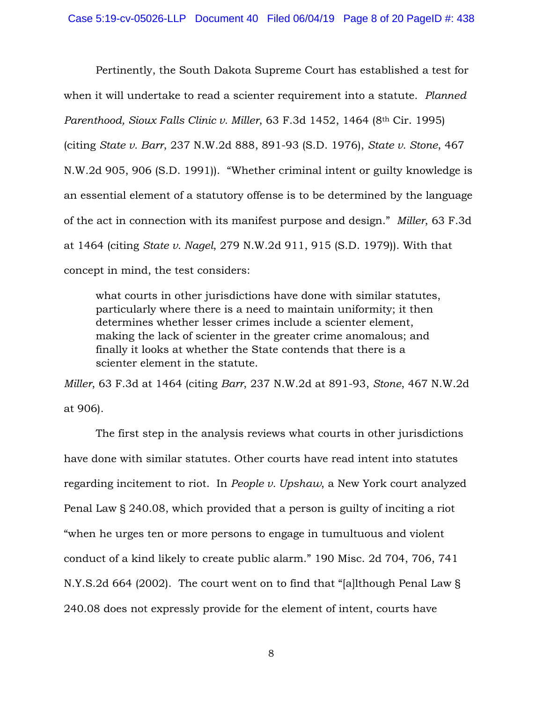Pertinently, the South Dakota Supreme Court has established a test for when it will undertake to read a scienter requirement into a statute. *Planned Parenthood, Sioux Falls Clinic v. Miller*, 63 F.3d 1452, 1464 (8th Cir. 1995) (citing *State v. Barr*, 237 N.W.2d 888, 891-93 (S.D. 1976), *State v. Stone*, 467 N.W.2d 905, 906 (S.D. 1991)). "Whether criminal intent or guilty knowledge is an essential element of a statutory offense is to be determined by the language of the act in connection with its manifest purpose and design." *Miller*, 63 F.3d at 1464 (citing *State v. Nagel*, 279 N.W.2d 911, 915 (S.D. 1979)). With that concept in mind, the test considers:

what courts in other jurisdictions have done with similar statutes, particularly where there is a need to maintain uniformity; it then determines whether lesser crimes include a scienter element, making the lack of scienter in the greater crime anomalous; and finally it looks at whether the State contends that there is a scienter element in the statute.

*Miller*, 63 F.3d at 1464 (citing *Barr*, 237 N.W.2d at 891-93, *Stone*, 467 N.W.2d at 906).

The first step in the analysis reviews what courts in other jurisdictions have done with similar statutes. Other courts have read intent into statutes regarding incitement to riot. In *People v. Upshaw*, a New York court analyzed Penal Law § 240.08, which provided that a person is guilty of inciting a riot "when he urges ten or more persons to engage in tumultuous and violent conduct of a kind likely to create public alarm." 190 Misc. 2d 704, 706, 741 N.Y.S.2d 664 (2002). The court went on to find that "[a]lthough Penal Law § 240.08 does not expressly provide for the element of intent, courts have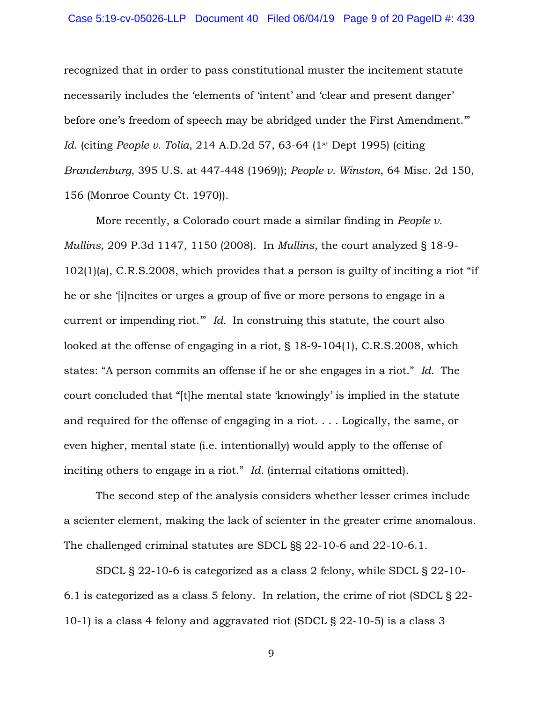recognized that in order to pass constitutional muster the incitement statute necessarily includes the 'elements of 'intent' and 'clear and present danger' before one's freedom of speech may be abridged under the First Amendment." *Id*. (citing *People v. Tolia*, 214 A.D.2d 57, 63-64 (1st Dept 1995) (citing *Brandenburg*, 395 U.S. at 447-448 (1969)); *People v. Winston*, 64 Misc. 2d 150, 156 (Monroe County Ct. 1970)).

More recently, a Colorado court made a similar finding in *People v. Mullins*, 209 P.3d 1147, 1150 (2008). In *Mullins*, the court analyzed § 18-9- 102(1)(a), C.R.S.2008, which provides that a person is guilty of inciting a riot "if he or she '[i]ncites or urges a group of five or more persons to engage in a current or impending riot." *Id.* In construing this statute, the court also looked at the offense of engaging in a riot, § 18-9-104(1), C.R.S.2008, which states: "A person commits an offense if he or she engages in a riot." *Id.* The court concluded that "[t]he mental state 'knowingly' is implied in the statute and required for the offense of engaging in a riot. . . . Logically, the same, or even higher, mental state (i.e. intentionally) would apply to the offense of inciting others to engage in a riot." *Id*. (internal citations omitted).

The second step of the analysis considers whether lesser crimes include a scienter element, making the lack of scienter in the greater crime anomalous. The challenged criminal statutes are SDCL §§ 22-10-6 and 22-10-6.1.

SDCL § 22-10-6 is categorized as a class 2 felony, while SDCL § 22-10- 6.1 is categorized as a class 5 felony. In relation, the crime of riot (SDCL § 22- 10-1) is a class 4 felony and aggravated riot (SDCL § 22-10-5) is a class 3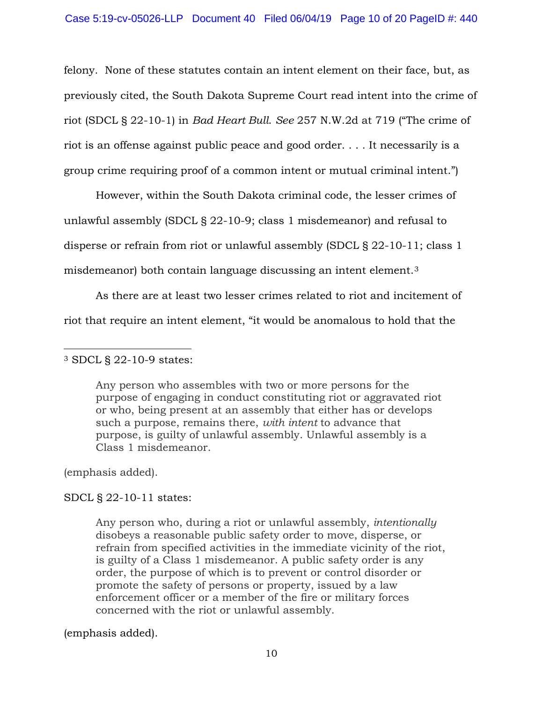felony. None of these statutes contain an intent element on their face, but, as previously cited, the South Dakota Supreme Court read intent into the crime of riot (SDCL § 22-10-1) in *Bad Heart Bull*. *See* 257 N.W.2d at 719 ("The crime of riot is an offense against public peace and good order. . . . It necessarily is a group crime requiring proof of a common intent or mutual criminal intent.")

However, within the South Dakota criminal code, the lesser crimes of unlawful assembly (SDCL § 22-10-9; class 1 misdemeanor) and refusal to disperse or refrain from riot or unlawful assembly (SDCL § 22-10-11; class 1 misdemeanor) both contain language discussing an intent element.[3](#page-9-0)

As there are at least two lesser crimes related to riot and incitement of riot that require an intent element, "it would be anomalous to hold that the

### <span id="page-9-0"></span>l <sup>3</sup> SDCL § 22-10-9 states:

Any person who assembles with two or more persons for the purpose of engaging in conduct constituting riot or aggravated riot or who, being present at an assembly that either has or develops such a purpose, remains there, *with intent* to advance that purpose, is guilty of unlawful assembly. Unlawful assembly is a Class 1 misdemeanor.

(emphasis added).

# SDCL § 22-10-11 states:

Any person who, during a riot or unlawful assembly, *intentionally* disobeys a reasonable public safety order to move, disperse, or refrain from specified activities in the immediate vicinity of the riot, is guilty of a Class 1 misdemeanor. A public safety order is any order, the purpose of which is to prevent or control disorder or promote the safety of persons or property, issued by a law enforcement officer or a member of the fire or military forces concerned with the riot or unlawful assembly.

# (emphasis added).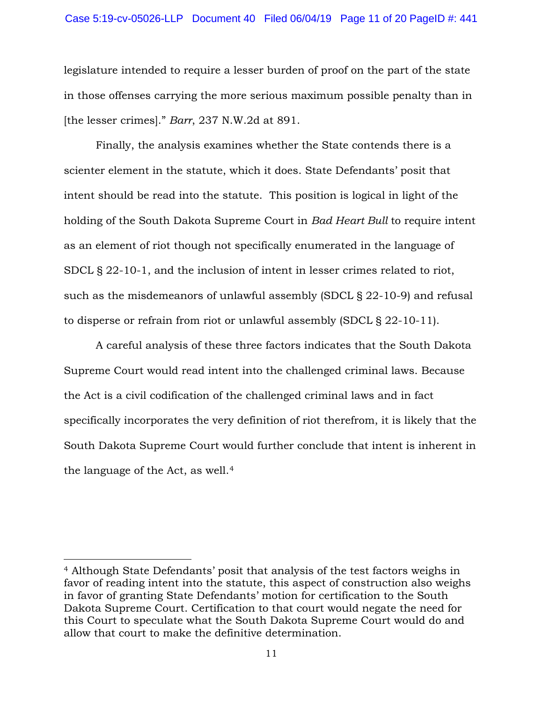legislature intended to require a lesser burden of proof on the part of the state in those offenses carrying the more serious maximum possible penalty than in [the lesser crimes]." *Barr*, 237 N.W.2d at 891.

Finally, the analysis examines whether the State contends there is a scienter element in the statute, which it does. State Defendants' posit that intent should be read into the statute. This position is logical in light of the holding of the South Dakota Supreme Court in *Bad Heart Bull* to require intent as an element of riot though not specifically enumerated in the language of SDCL § 22-10-1, and the inclusion of intent in lesser crimes related to riot, such as the misdemeanors of unlawful assembly (SDCL § 22-10-9) and refusal to disperse or refrain from riot or unlawful assembly (SDCL § 22-10-11).

A careful analysis of these three factors indicates that the South Dakota Supreme Court would read intent into the challenged criminal laws. Because the Act is a civil codification of the challenged criminal laws and in fact specifically incorporates the very definition of riot therefrom, it is likely that the South Dakota Supreme Court would further conclude that intent is inherent in the language of the Act, as well.[4](#page-10-0)

 $\overline{\phantom{a}}$ 

<span id="page-10-0"></span><sup>4</sup> Although State Defendants' posit that analysis of the test factors weighs in favor of reading intent into the statute, this aspect of construction also weighs in favor of granting State Defendants' motion for certification to the South Dakota Supreme Court. Certification to that court would negate the need for this Court to speculate what the South Dakota Supreme Court would do and allow that court to make the definitive determination.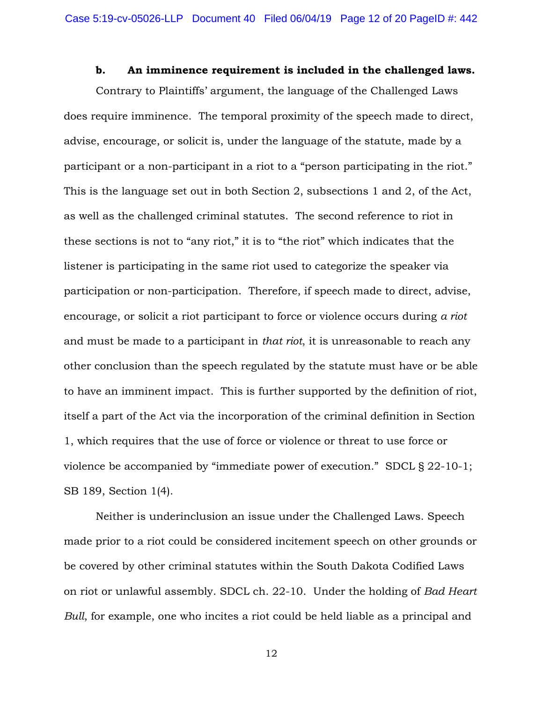### **b. An imminence requirement is included in the challenged laws.**

Contrary to Plaintiffs' argument, the language of the Challenged Laws does require imminence. The temporal proximity of the speech made to direct, advise, encourage, or solicit is, under the language of the statute, made by a participant or a non-participant in a riot to a "person participating in the riot." This is the language set out in both Section 2, subsections 1 and 2, of the Act, as well as the challenged criminal statutes. The second reference to riot in these sections is not to "any riot," it is to "the riot" which indicates that the listener is participating in the same riot used to categorize the speaker via participation or non-participation. Therefore, if speech made to direct, advise, encourage, or solicit a riot participant to force or violence occurs during *a riot* and must be made to a participant in *that riot*, it is unreasonable to reach any other conclusion than the speech regulated by the statute must have or be able to have an imminent impact. This is further supported by the definition of riot, itself a part of the Act via the incorporation of the criminal definition in Section 1, which requires that the use of force or violence or threat to use force or violence be accompanied by "immediate power of execution." SDCL § 22-10-1; SB 189, Section 1(4).

Neither is underinclusion an issue under the Challenged Laws. Speech made prior to a riot could be considered incitement speech on other grounds or be covered by other criminal statutes within the South Dakota Codified Laws on riot or unlawful assembly. SDCL ch. 22-10. Under the holding of *Bad Heart Bull*, for example, one who incites a riot could be held liable as a principal and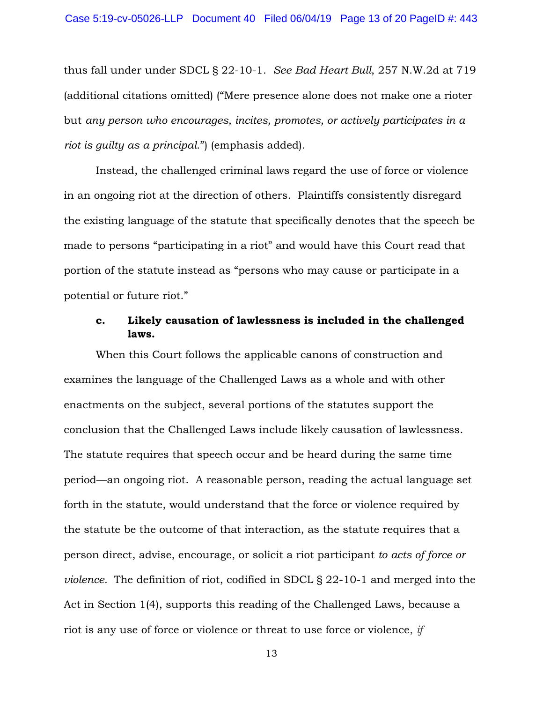thus fall under under SDCL § 22-10-1. *See Bad Heart Bull*, 257 N.W.2d at 719 (additional citations omitted) ("Mere presence alone does not make one a rioter but *any person who encourages, incites, promotes, or actively participates in a riot is guilty as a principal*.") (emphasis added).

Instead, the challenged criminal laws regard the use of force or violence in an ongoing riot at the direction of others. Plaintiffs consistently disregard the existing language of the statute that specifically denotes that the speech be made to persons "participating in a riot" and would have this Court read that portion of the statute instead as "persons who may cause or participate in a potential or future riot."

# **c. Likely causation of lawlessness is included in the challenged laws.**

When this Court follows the applicable canons of construction and examines the language of the Challenged Laws as a whole and with other enactments on the subject, several portions of the statutes support the conclusion that the Challenged Laws include likely causation of lawlessness. The statute requires that speech occur and be heard during the same time period—an ongoing riot. A reasonable person, reading the actual language set forth in the statute, would understand that the force or violence required by the statute be the outcome of that interaction, as the statute requires that a person direct, advise, encourage, or solicit a riot participant *to acts of force or violence.* The definition of riot, codified in SDCL § 22-10-1 and merged into the Act in Section 1(4), supports this reading of the Challenged Laws, because a riot is any use of force or violence or threat to use force or violence, *if*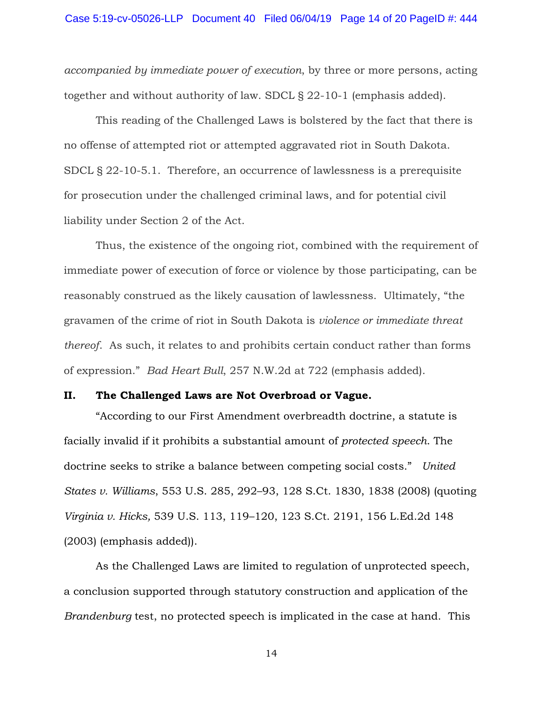*accompanied by immediate power of execution*, by three or more persons, acting together and without authority of law. SDCL § 22-10-1 (emphasis added).

This reading of the Challenged Laws is bolstered by the fact that there is no offense of attempted riot or attempted aggravated riot in South Dakota. SDCL § 22-10-5.1. Therefore, an occurrence of lawlessness is a prerequisite for prosecution under the challenged criminal laws, and for potential civil liability under Section 2 of the Act.

Thus, the existence of the ongoing riot, combined with the requirement of immediate power of execution of force or violence by those participating, can be reasonably construed as the likely causation of lawlessness. Ultimately, "the gravamen of the crime of riot in South Dakota is *violence or immediate threat thereof*. As such, it relates to and prohibits certain conduct rather than forms of expression." *Bad Heart Bull*, 257 N.W.2d at 722 (emphasis added).

### **II. The Challenged Laws are Not Overbroad or Vague.**

"According to our First Amendment overbreadth doctrine, a statute is facially invalid if it prohibits a substantial amount of *protected speech*. The doctrine seeks to strike a balance between competing social costs." *United States v. Williams*, 553 U.S. 285, 292–93, 128 S.Ct. 1830, 1838 (2008) (quoting *Virginia v. Hicks,* 539 U.S. 113, 119–120, 123 S.Ct. 2191, 156 L.Ed.2d 148 (2003) (emphasis added)).

As the Challenged Laws are limited to regulation of unprotected speech, a conclusion supported through statutory construction and application of the *Brandenburg* test, no protected speech is implicated in the case at hand. This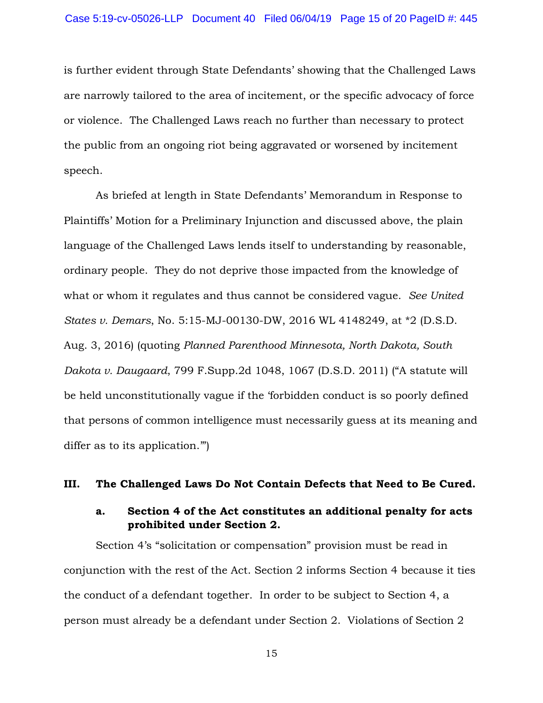is further evident through State Defendants' showing that the Challenged Laws are narrowly tailored to the area of incitement, or the specific advocacy of force or violence. The Challenged Laws reach no further than necessary to protect the public from an ongoing riot being aggravated or worsened by incitement speech.

As briefed at length in State Defendants' Memorandum in Response to Plaintiffs' Motion for a Preliminary Injunction and discussed above, the plain language of the Challenged Laws lends itself to understanding by reasonable, ordinary people. They do not deprive those impacted from the knowledge of what or whom it regulates and thus cannot be considered vague. *See United States v. Demars*, No. 5:15-MJ-00130-DW, 2016 WL 4148249, at \*2 (D.S.D. Aug. 3, 2016) (quoting *Planned Parenthood Minnesota, North Dakota, South Dakota v. Daugaard*, 799 F.Supp.2d 1048, 1067 (D.S.D. 2011) ("A statute will be held unconstitutionally vague if the 'forbidden conduct is so poorly defined that persons of common intelligence must necessarily guess at its meaning and differ as to its application.'")

### **III. The Challenged Laws Do Not Contain Defects that Need to Be Cured.**

# **a. Section 4 of the Act constitutes an additional penalty for acts prohibited under Section 2.**

Section 4's "solicitation or compensation" provision must be read in conjunction with the rest of the Act. Section 2 informs Section 4 because it ties the conduct of a defendant together. In order to be subject to Section 4, a person must already be a defendant under Section 2. Violations of Section 2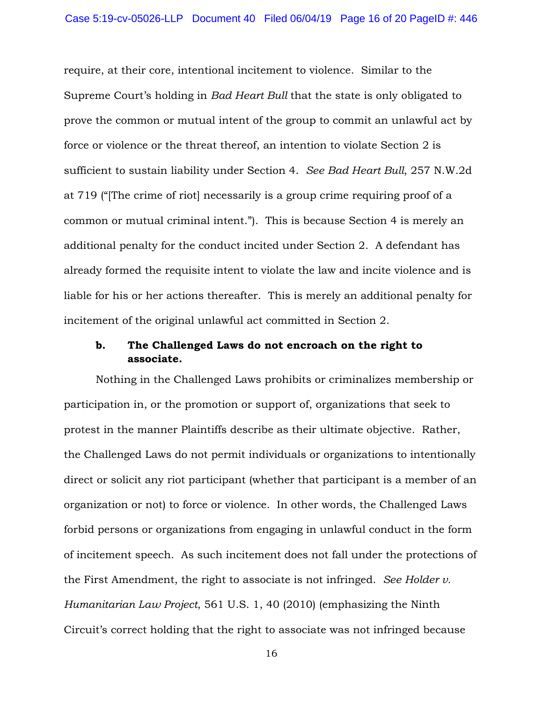require, at their core, intentional incitement to violence. Similar to the Supreme Court's holding in *Bad Heart Bull* that the state is only obligated to prove the common or mutual intent of the group to commit an unlawful act by force or violence or the threat thereof, an intention to violate Section 2 is sufficient to sustain liability under Section 4. *See Bad Heart Bull*, 257 N.W.2d at 719 ("[The crime of riot] necessarily is a group crime requiring proof of a common or mutual criminal intent."). This is because Section 4 is merely an additional penalty for the conduct incited under Section 2. A defendant has already formed the requisite intent to violate the law and incite violence and is liable for his or her actions thereafter. This is merely an additional penalty for incitement of the original unlawful act committed in Section 2.

# **b. The Challenged Laws do not encroach on the right to associate.**

Nothing in the Challenged Laws prohibits or criminalizes membership or participation in, or the promotion or support of, organizations that seek to protest in the manner Plaintiffs describe as their ultimate objective. Rather, the Challenged Laws do not permit individuals or organizations to intentionally direct or solicit any riot participant (whether that participant is a member of an organization or not) to force or violence. In other words, the Challenged Laws forbid persons or organizations from engaging in unlawful conduct in the form of incitement speech. As such incitement does not fall under the protections of the First Amendment, the right to associate is not infringed. *See Holder v. Humanitarian Law Project*, 561 U.S. 1, 40 (2010) (emphasizing the Ninth Circuit's correct holding that the right to associate was not infringed because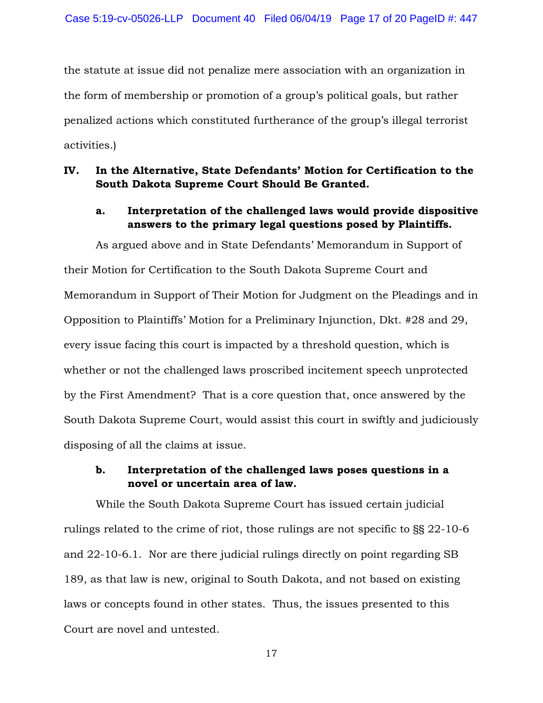the statute at issue did not penalize mere association with an organization in the form of membership or promotion of a group's political goals, but rather penalized actions which constituted furtherance of the group's illegal terrorist activities.)

# **IV. In the Alternative, State Defendants' Motion for Certification to the South Dakota Supreme Court Should Be Granted.**

# **a. Interpretation of the challenged laws would provide dispositive answers to the primary legal questions posed by Plaintiffs.**

As argued above and in State Defendants' Memorandum in Support of their Motion for Certification to the South Dakota Supreme Court and Memorandum in Support of Their Motion for Judgment on the Pleadings and in Opposition to Plaintiffs' Motion for a Preliminary Injunction, Dkt. #28 and 29, every issue facing this court is impacted by a threshold question, which is whether or not the challenged laws proscribed incitement speech unprotected by the First Amendment? That is a core question that, once answered by the South Dakota Supreme Court, would assist this court in swiftly and judiciously disposing of all the claims at issue.

# **b. Interpretation of the challenged laws poses questions in a novel or uncertain area of law.**

While the South Dakota Supreme Court has issued certain judicial rulings related to the crime of riot, those rulings are not specific to §§ 22-10-6 and 22-10-6.1. Nor are there judicial rulings directly on point regarding SB 189, as that law is new, original to South Dakota, and not based on existing laws or concepts found in other states. Thus, the issues presented to this Court are novel and untested.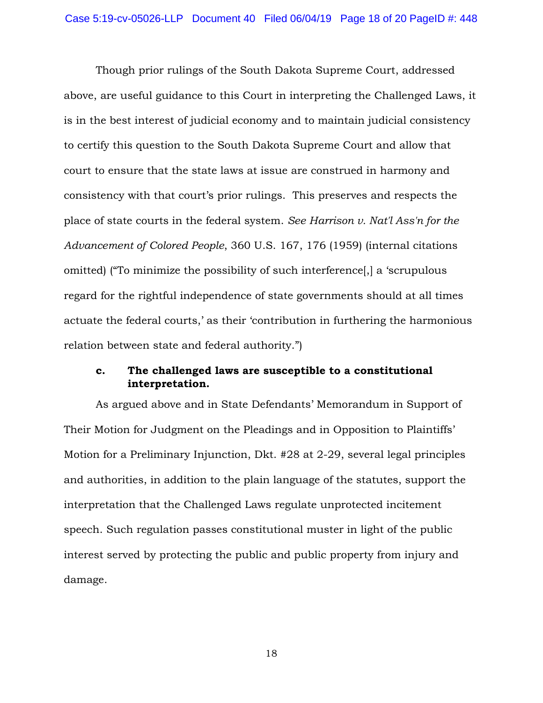Though prior rulings of the South Dakota Supreme Court, addressed above, are useful guidance to this Court in interpreting the Challenged Laws, it is in the best interest of judicial economy and to maintain judicial consistency to certify this question to the South Dakota Supreme Court and allow that court to ensure that the state laws at issue are construed in harmony and consistency with that court's prior rulings. This preserves and respects the place of state courts in the federal system. *See Harrison v. Nat'l Ass'n for the Advancement of Colored People*, 360 U.S. 167, 176 (1959) (internal citations omitted) ("To minimize the possibility of such interference[,] a 'scrupulous regard for the rightful independence of state governments should at all times actuate the federal courts,' as their 'contribution in furthering the harmonious relation between state and federal authority.")

# **c. The challenged laws are susceptible to a constitutional interpretation.**

As argued above and in State Defendants' Memorandum in Support of Their Motion for Judgment on the Pleadings and in Opposition to Plaintiffs' Motion for a Preliminary Injunction, Dkt. #28 at 2-29, several legal principles and authorities, in addition to the plain language of the statutes, support the interpretation that the Challenged Laws regulate unprotected incitement speech. Such regulation passes constitutional muster in light of the public interest served by protecting the public and public property from injury and damage.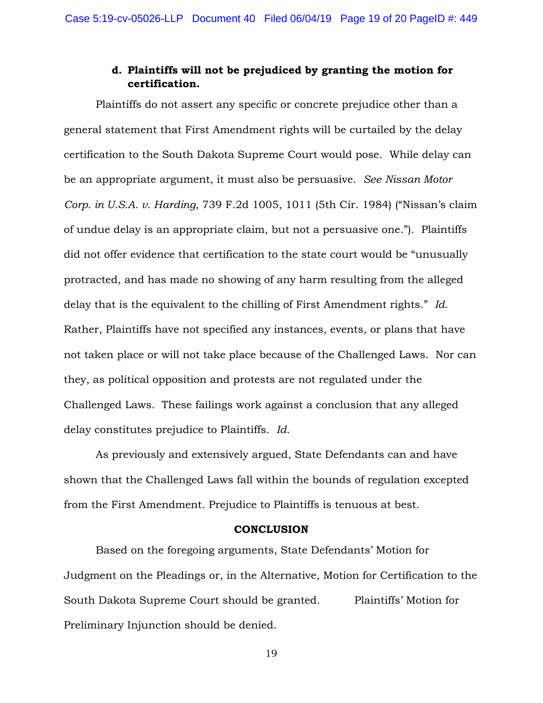# **d. Plaintiffs will not be prejudiced by granting the motion for certification.**

Plaintiffs do not assert any specific or concrete prejudice other than a general statement that First Amendment rights will be curtailed by the delay certification to the South Dakota Supreme Court would pose. While delay can be an appropriate argument, it must also be persuasive. *See Nissan Motor Corp. in U.S.A. v. Harding*, 739 F.2d 1005, 1011 (5th Cir. 1984) ("Nissan's claim of undue delay is an appropriate claim, but not a persuasive one."). Plaintiffs did not offer evidence that certification to the state court would be "unusually protracted, and has made no showing of any harm resulting from the alleged delay that is the equivalent to the chilling of First Amendment rights." *Id*. Rather, Plaintiffs have not specified any instances, events, or plans that have not taken place or will not take place because of the Challenged Laws. Nor can they, as political opposition and protests are not regulated under the Challenged Laws. These failings work against a conclusion that any alleged delay constitutes prejudice to Plaintiffs. *Id*.

As previously and extensively argued, State Defendants can and have shown that the Challenged Laws fall within the bounds of regulation excepted from the First Amendment. Prejudice to Plaintiffs is tenuous at best.

#### **CONCLUSION**

Based on the foregoing arguments, State Defendants' Motion for Judgment on the Pleadings or, in the Alternative, Motion for Certification to the South Dakota Supreme Court should be granted. Plaintiffs' Motion for Preliminary Injunction should be denied.